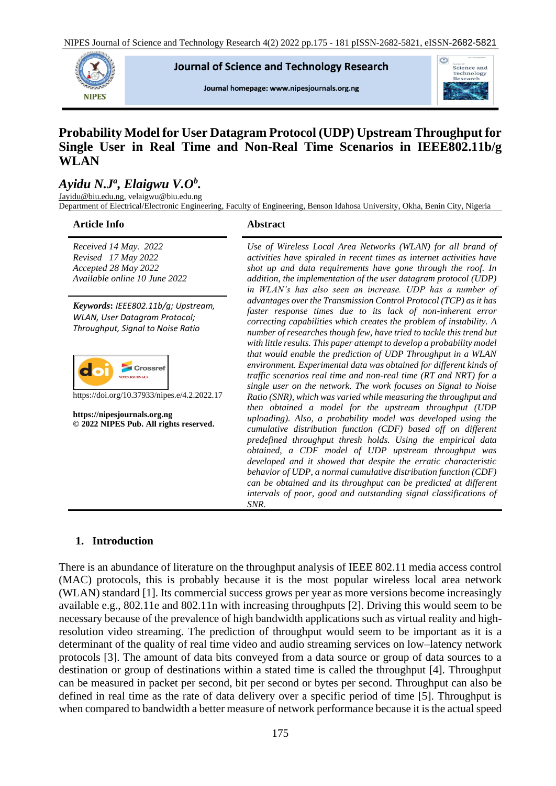**Journal of Science and Technology Research** 

Journal homepage: www.nipesjournals.org.ng



# **Probability Model for User Datagram Protocol (UDP) Upstream Throughput for Single User in Real Time and Non-Real Time Scenarios in IEEE802.11b/g WLAN**

# *Ayidu N.J<sup>a</sup> , Elaigwu V.O<sup>b</sup> .*

[Jayidu@biu.edu.ng,](mailto:Jayidu@biu.edu.ng) velaigwu@biu.edu.ng Department of Electrical/Electronic Engineering, Faculty of Engineering, Benson Idahosa University, Okha, Benin City, Nigeria

#### **Article Info Abstract**

**NIPES** 

*Received 14 May. 2022 Revised 17 May 2022 Accepted 28 May 2022 Available online 10 June 2022*

*Keywords***:** *IEEE802.11b/g; Upstream, WLAN, User Datagram Protocol; Throughput, Signal to Noise Ratio*



https://doi.org/10.37933/nipes.e/4.2.2022.17

**https://nipesjournals.org.ng © 2022 NIPES Pub. All rights reserved.**

*Use of Wireless Local Area Networks (WLAN) for all brand of activities have spiraled in recent times as internet activities have shot up and data requirements have gone through the roof. In addition, the implementation of the user datagram protocol (UDP) in WLAN's has also seen an increase. UDP has a number of advantages over the Transmission Control Protocol (TCP) as it has faster response times due to its lack of non-inherent error correcting capabilities which creates the problem of instability. A number of researches though few, have tried to tackle this trend but with little results. This paper attempt to develop a probability model that would enable the prediction of UDP Throughput in a WLAN environment. Experimental data was obtained for different kinds of traffic scenarios real time and non-real time (RT and NRT) for a single user on the network. The work focuses on Signal to Noise Ratio (SNR), which was varied while measuring the throughput and then obtained a model for the upstream throughput (UDP uploading). Also, a probability model was developed using the cumulative distribution function (CDF) based off on different predefined throughput thresh holds. Using the empirical data obtained, a CDF model of UDP upstream throughput was developed and it showed that despite the erratic characteristic behavior of UDP, a normal cumulative distribution function (CDF) can be obtained and its throughput can be predicted at different intervals of poor, good and outstanding signal classifications of SNR.*

## **1. Introduction**

There is an abundance of literature on the throughput analysis of IEEE 802.11 media access control (MAC) protocols, this is probably because it is the most popular wireless local area network (WLAN) standard [1]. Its commercial success grows per year as more versions become increasingly available e.g., 802.11e and 802.11n with increasing throughputs [2]. Driving this would seem to be necessary because of the prevalence of high bandwidth applications such as virtual reality and highresolution video streaming. The prediction of throughput would seem to be important as it is a determinant of the quality of real time video and audio streaming services on low–latency network protocols [3]. The amount of data bits conveyed from a data source or group of data sources to a destination or group of destinations within a stated time is called the throughput [4]. Throughput can be measured in packet per second, bit per second or bytes per second. Throughput can also be defined in real time as the rate of data delivery over a specific period of time [5]. Throughput is when compared to bandwidth a better measure of network performance because it is the actual speed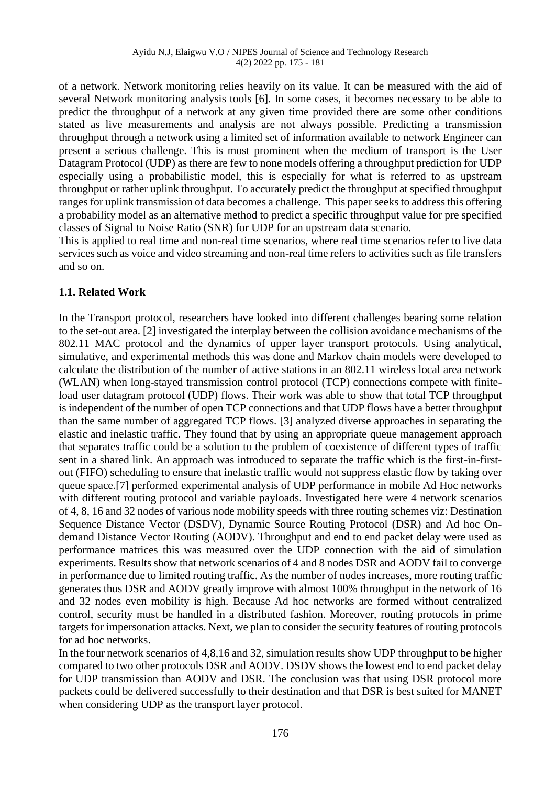of a network. Network monitoring relies heavily on its value. It can be measured with the aid of several Network monitoring analysis tools [6]. In some cases, it becomes necessary to be able to predict the throughput of a network at any given time provided there are some other conditions stated as live measurements and analysis are not always possible. Predicting a transmission throughput through a network using a limited set of information available to network Engineer can present a serious challenge. This is most prominent when the medium of transport is the User Datagram Protocol (UDP) as there are few to none models offering a throughput prediction for UDP especially using a probabilistic model, this is especially for what is referred to as upstream throughput or rather uplink throughput. To accurately predict the throughput at specified throughput ranges for uplink transmission of data becomes a challenge. This paper seeks to address this offering a probability model as an alternative method to predict a specific throughput value for pre specified classes of Signal to Noise Ratio (SNR) for UDP for an upstream data scenario.

This is applied to real time and non-real time scenarios, where real time scenarios refer to live data services such as voice and video streaming and non-real time refers to activities such as file transfers and so on.

## **1.1. Related Work**

In the Transport protocol, researchers have looked into different challenges bearing some relation to the set-out area. [2] investigated the interplay between the collision avoidance mechanisms of the 802.11 MAC protocol and the dynamics of upper layer transport protocols. Using analytical, simulative, and experimental methods this was done and Markov chain models were developed to calculate the distribution of the number of active stations in an 802.11 wireless local area network (WLAN) when long-stayed transmission control protocol (TCP) connections compete with finiteload user datagram protocol (UDP) flows. Their work was able to show that total TCP throughput is independent of the number of open TCP connections and that UDP flows have a better throughput than the same number of aggregated TCP flows. [3] analyzed diverse approaches in separating the elastic and inelastic traffic. They found that by using an appropriate queue management approach that separates traffic could be a solution to the problem of coexistence of different types of traffic sent in a shared link. An approach was introduced to separate the traffic which is the first-in-firstout (FIFO) scheduling to ensure that inelastic traffic would not suppress elastic flow by taking over queue space.[7] performed experimental analysis of UDP performance in mobile Ad Hoc networks with different routing protocol and variable payloads. Investigated here were 4 network scenarios of 4, 8, 16 and 32 nodes of various node mobility speeds with three routing schemes viz: Destination Sequence Distance Vector (DSDV), Dynamic Source Routing Protocol (DSR) and Ad hoc Ondemand Distance Vector Routing (AODV). Throughput and end to end packet delay were used as performance matrices this was measured over the UDP connection with the aid of simulation experiments. Results show that network scenarios of 4 and 8 nodes DSR and AODV fail to converge in performance due to limited routing traffic. As the number of nodes increases, more routing traffic generates thus DSR and AODV greatly improve with almost 100% throughput in the network of 16 and 32 nodes even mobility is high. Because Ad hoc networks are formed without centralized control, security must be handled in a distributed fashion. Moreover, routing protocols in prime targets for impersonation attacks. Next, we plan to consider the security features of routing protocols for ad hoc networks.

In the four network scenarios of 4,8,16 and 32, simulation results show UDP throughput to be higher compared to two other protocols DSR and AODV. DSDV shows the lowest end to end packet delay for UDP transmission than AODV and DSR. The conclusion was that using DSR protocol more packets could be delivered successfully to their destination and that DSR is best suited for MANET when considering UDP as the transport layer protocol.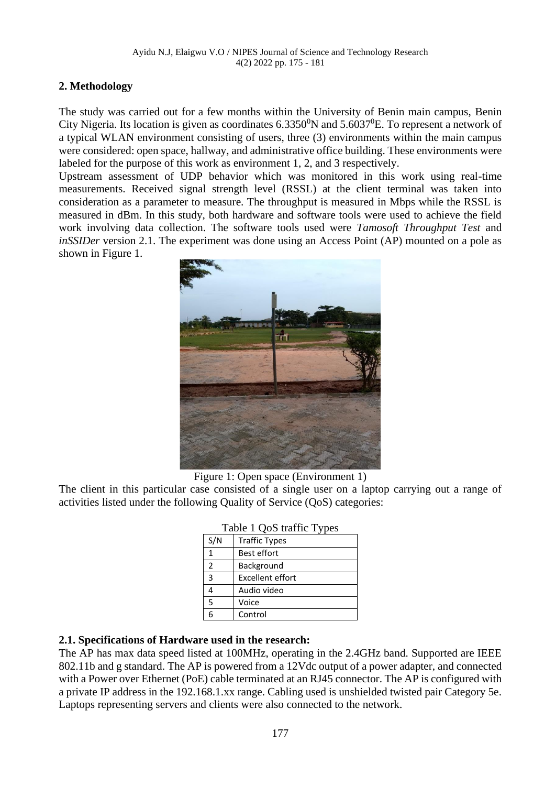# **2. Methodology**

The study was carried out for a few months within the University of Benin main campus, Benin City Nigeria. Its location is given as coordinates  $6.3350^0$ N and  $5.6037^0$ E. To represent a network of a typical WLAN environment consisting of users, three (3) environments within the main campus were considered: open space, hallway, and administrative office building. These environments were labeled for the purpose of this work as environment 1, 2, and 3 respectively.

Upstream assessment of UDP behavior which was monitored in this work using real-time measurements. Received signal strength level (RSSL) at the client terminal was taken into consideration as a parameter to measure. The throughput is measured in Mbps while the RSSL is measured in dBm. In this study, both hardware and software tools were used to achieve the field work involving data collection. The software tools used were *Tamosoft Throughput Test* and *inSSIDer* version 2.1. The experiment was done using an Access Point (AP) mounted on a pole as shown in Figure 1.



Figure 1: Open space (Environment 1)

The client in this particular case consisted of a single user on a laptop carrying out a range of activities listed under the following Quality of Service (QoS) categories:

| S/N | <b>Traffic Types</b>    |
|-----|-------------------------|
| 1   | <b>Best effort</b>      |
| 2   | Background              |
| 3   | <b>Excellent effort</b> |
|     | Audio video             |
| 5   | Voice                   |
| 6   | Control                 |

### Table 1 QoS traffic Types

## **2.1. Specifications of Hardware used in the research:**

The AP has max data speed listed at 100MHz, operating in the 2.4GHz band. Supported are IEEE 802.11b and g standard. The AP is powered from a 12Vdc output of a power adapter, and connected with a Power over Ethernet (PoE) cable terminated at an RJ45 connector. The AP is configured with a private IP address in the 192.168.1.xx range. Cabling used is unshielded twisted pair Category 5e. Laptops representing servers and clients were also connected to the network.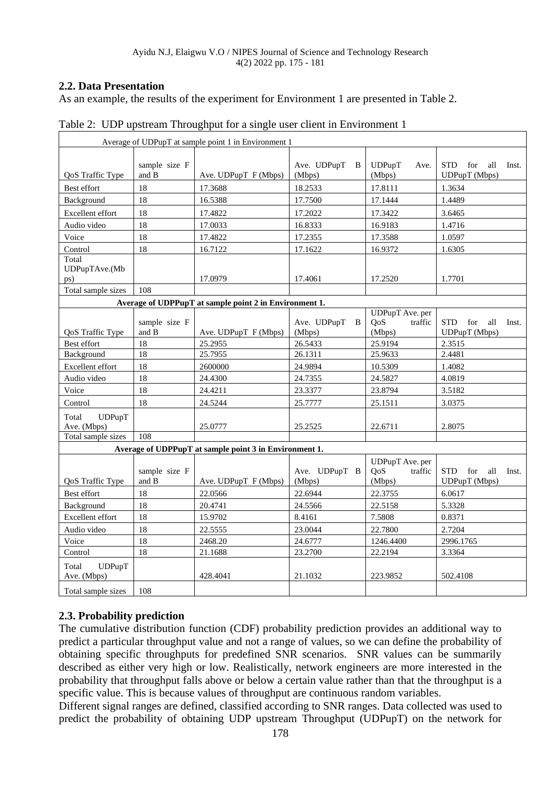# **2.2. Data Presentation**

As an example, the results of the experiment for Environment 1 are presented in Table 2.

| Average of UDPupT at sample point 1 in Environment 1   |                                |                                                        |                             |                                             |                                                    |  |  |
|--------------------------------------------------------|--------------------------------|--------------------------------------------------------|-----------------------------|---------------------------------------------|----------------------------------------------------|--|--|
| QoS Traffic Type                                       | sample size F<br>and B         | Ave. UDPupT F (Mbps)                                   | Ave. UDPupT<br>-B<br>(Mbps) | UDPupT<br>Ave.<br>(Mbps)                    | <b>STD</b><br>for<br>all<br>Inst.<br>UDPupT (Mbps) |  |  |
| Best effort                                            | 18                             | 17.3688                                                | 18.2533                     | 17.8111                                     | 1.3634                                             |  |  |
| Background                                             | 18                             | 16.5388                                                | 17.7500                     | 17.1444                                     | 1.4489                                             |  |  |
| Excellent effort                                       | 18                             | 17.4822                                                | 17.2022                     | 17.3422                                     | 3.6465                                             |  |  |
| Audio video                                            | 18                             | 17.0033                                                | 16.8333                     | 16.9183                                     | 1.4716                                             |  |  |
| Voice                                                  | 18                             | 17.4822                                                | 17.2355                     | 17.3588                                     | 1.0597                                             |  |  |
| Control                                                | 18                             | 16.7122                                                | 17.1622                     | 16.9372                                     | 1.6305                                             |  |  |
| Total<br>UDPupTAve.(Mb<br>ps)                          |                                | 17.0979                                                | 17.4061                     | 17.2520                                     | 1.7701                                             |  |  |
| Total sample sizes                                     | 108                            |                                                        |                             |                                             |                                                    |  |  |
|                                                        |                                | Average of UDPPupT at sample point 2 in Environment 1. |                             |                                             |                                                    |  |  |
| QoS Traffic Type                                       | sample size F<br>and ${\bf B}$ | Ave. UDPupT F (Mbps)                                   | Ave. UDPupT<br>B<br>(Mbps)  | UDPupT Ave. per<br>QoS<br>traffic<br>(Mbps) | <b>STD</b><br>for<br>all<br>Inst.<br>UDPupT (Mbps) |  |  |
| Best effort                                            | 18                             | 25.2955                                                | 26.5433                     | 25.9194                                     | 2.3515                                             |  |  |
| Background                                             | 18                             | 25.7955                                                | 26.1311                     | 25.9633                                     | 2.4481                                             |  |  |
| Excellent effort                                       | 18                             | 2600000                                                | 24.9894                     | 10.5309                                     | 1.4082                                             |  |  |
| Audio video                                            | 18                             | 24.4300                                                | 24.7355                     | 24.5827                                     | 4.0819                                             |  |  |
| Voice                                                  | 18                             | 24.4211                                                | 23.3377                     | 23.8794                                     | 3.5182                                             |  |  |
| Control                                                | 18                             | 24.5244                                                | 25.7777                     | 25.1511                                     | 3.0375                                             |  |  |
| Total<br><b>UDPupT</b><br>Ave. (Mbps)                  |                                | 25.0777                                                | 25.2525                     | 22.6711                                     | 2.8075                                             |  |  |
| Total sample sizes                                     | 108                            |                                                        |                             |                                             |                                                    |  |  |
| Average of UDPPupT at sample point 3 in Environment 1. |                                |                                                        |                             |                                             |                                                    |  |  |
| QoS Traffic Type                                       | sample size F<br>and B         | Ave. UDPupT F (Mbps)                                   | Ave. UDPupT B<br>(Mbps)     | UDPupT Ave. per<br>QoS<br>traffic<br>(Mbps) | <b>STD</b><br>all<br>for<br>Inst.<br>UDPupT (Mbps) |  |  |
| Best effort                                            | 18                             | 22.0566                                                | 22.6944                     | 22.3755                                     | 6.0617                                             |  |  |
| Background                                             | 18                             | 20.4741                                                | 24.5566                     | 22.5158                                     | 5.3328                                             |  |  |
| Excellent effort                                       | 18                             | 15.9702                                                | 8.4161                      | 7.5808                                      | 0.8371                                             |  |  |
| Audio video                                            | 18                             | 22.5555                                                | 23.0044                     | 22.7800                                     | 2.7204                                             |  |  |
| Voice                                                  | 18                             | 2468.20                                                | 24.6777                     | 1246.4400                                   | 2996.1765                                          |  |  |
| Control                                                | 18                             | 21.1688                                                | 23.2700                     | 22.2194                                     | 3.3364                                             |  |  |
| Total<br><b>UDPupT</b><br>Ave. (Mbps)                  |                                | 428.4041                                               | 21.1032                     | 223.9852                                    | 502.4108                                           |  |  |
| Total sample sizes                                     | 108                            |                                                        |                             |                                             |                                                    |  |  |

Table 2: UDP upstream Throughput for a single user client in Environment 1

# **2.3. Probability prediction**

The cumulative distribution function (CDF) probability prediction provides an additional way to predict a particular throughput value and not a range of values, so we can define the probability of obtaining specific throughputs for predefined SNR scenarios. SNR values can be summarily described as either very high or low. Realistically, network engineers are more interested in the probability that throughput falls above or below a certain value rather than that the throughput is a specific value. This is because values of throughput are continuous random variables.

Different signal ranges are defined, classified according to SNR ranges. Data collected was used to predict the probability of obtaining UDP upstream Throughput (UDPupT) on the network for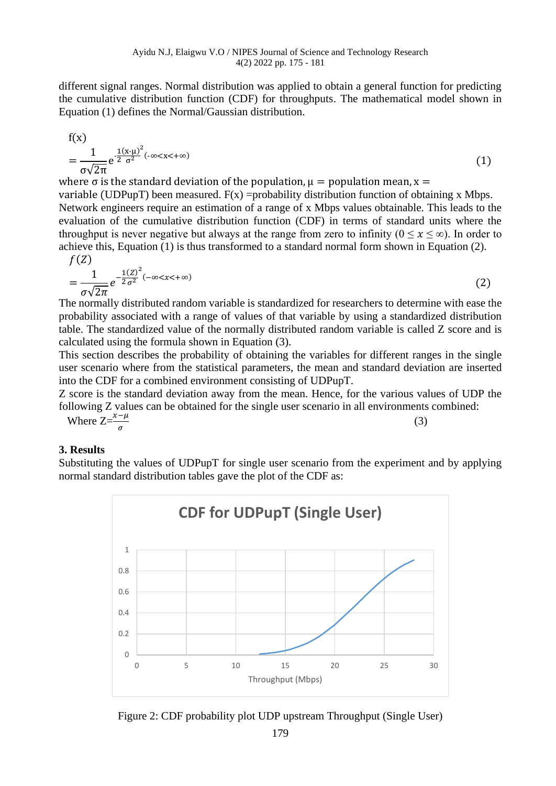different signal ranges. Normal distribution was applied to obtain a general function for predicting the cumulative distribution function (CDF) for throughputs. The mathematical model shown in Equation (1) defines the Normal/Gaussian distribution.

$$
f(x) = \frac{1}{\sigma\sqrt{2\pi}}e^{\frac{1(x-\mu)^2}{2\sigma^2}(-\infty < x < +\infty)}
$$
 (1)

where  $\sigma$  is the standard deviation of the population,  $\mu =$  population mean,  $x =$ 

variable (UDPupT) been measured.  $F(x)$  =probability distribution function of obtaining x Mbps. Network engineers require an estimation of a range of x Mbps values obtainable. This leads to the evaluation of the cumulative distribution function (CDF) in terms of standard units where the throughput is never negative but always at the range from zero to infinity  $(0 \le x \le \infty)$ . In order to achieve this, Equation (1) is thus transformed to a standard normal form shown in Equation (2).  $f(7)$ 

$$
J(z)
$$
  
= 
$$
\frac{1}{\sigma\sqrt{2\pi}}e^{-\frac{1(Z)^2}{2\sigma^2}(-\infty < x < +\infty)}
$$
 (2)

The normally distributed random variable is standardized for researchers to determine with ease the probability associated with a range of values of that variable by using a standardized distribution table. The standardized value of the normally distributed random variable is called Z score and is calculated using the formula shown in Equation (3).

This section describes the probability of obtaining the variables for different ranges in the single user scenario where from the statistical parameters, the mean and standard deviation are inserted into the CDF for a combined environment consisting of UDPupT.

Z score is the standard deviation away from the mean. Hence, for the various values of UDP the following Z values can be obtained for the single user scenario in all environments combined:

Where  $Z=\frac{x-\mu}{\sigma}$ (3)

## **3. Results**

Substituting the values of UDPupT for single user scenario from the experiment and by applying normal standard distribution tables gave the plot of the CDF as:



Figure 2: CDF probability plot UDP upstream Throughput (Single User)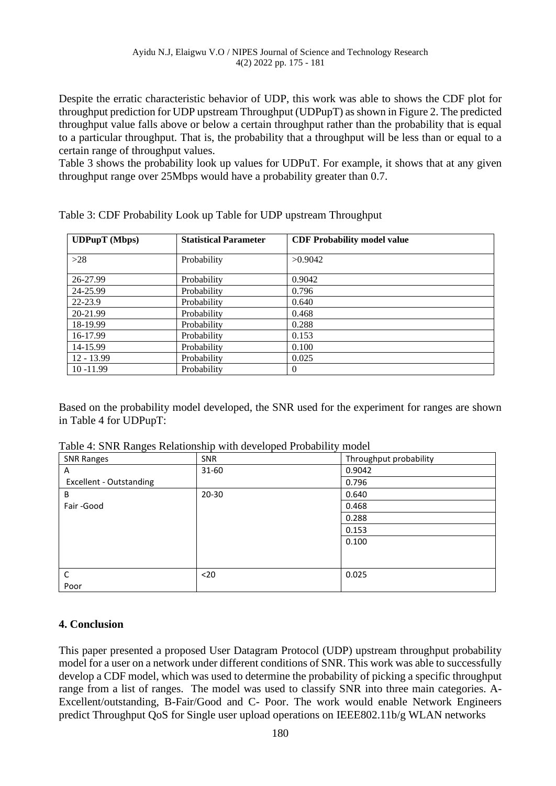Despite the erratic characteristic behavior of UDP, this work was able to shows the CDF plot for throughput prediction for UDP upstream Throughput (UDPupT) as shown in Figure 2. The predicted throughput value falls above or below a certain throughput rather than the probability that is equal to a particular throughput. That is, the probability that a throughput will be less than or equal to a certain range of throughput values.

Table 3 shows the probability look up values for UDPuT. For example, it shows that at any given throughput range over 25Mbps would have a probability greater than 0.7.

| <b>UDPupT</b> (Mbps) | <b>Statistical Parameter</b> | <b>CDF Probability model value</b> |  |
|----------------------|------------------------------|------------------------------------|--|
| $>28$                | Probability                  | >0.9042                            |  |
| 26-27.99             | Probability                  | 0.9042                             |  |
| 24-25.99             | Probability                  | 0.796                              |  |
| $22 - 23.9$          | Probability                  | 0.640                              |  |
| 20-21.99             | Probability                  | 0.468                              |  |
| 18-19.99             | Probability                  | 0.288                              |  |
| 16-17.99             | Probability                  | 0.153                              |  |
| 14-15.99             | Probability                  | 0.100                              |  |
| $12 - 13.99$         | Probability                  | 0.025                              |  |
| $10 - 11.99$         | Probability                  | $\theta$                           |  |

Table 3: CDF Probability Look up Table for UDP upstream Throughput

Based on the probability model developed, the SNR used for the experiment for ranges are shown in Table 4 for UDPupT:

| <b>SNR Ranges</b>       | SNR       | Throughput probability |
|-------------------------|-----------|------------------------|
| A                       | $31 - 60$ | 0.9042                 |
| Excellent - Outstanding |           | 0.796                  |
| B                       | $20 - 30$ | 0.640                  |
| Fair-Good               |           | 0.468                  |
|                         |           | 0.288                  |
|                         |           | 0.153                  |
|                         |           | 0.100                  |
|                         |           |                        |
|                         |           |                        |
| $\mathsf{C}$            | $20$      | 0.025                  |
| Poor                    |           |                        |

Table 4: SNR Ranges Relationship with developed Probability model

### **4. Conclusion**

This paper presented a proposed User Datagram Protocol (UDP) upstream throughput probability model for a user on a network under different conditions of SNR. This work was able to successfully develop a CDF model, which was used to determine the probability of picking a specific throughput range from a list of ranges. The model was used to classify SNR into three main categories. A-Excellent/outstanding, B-Fair/Good and C- Poor. The work would enable Network Engineers predict Throughput QoS for Single user upload operations on IEEE802.11b/g WLAN networks